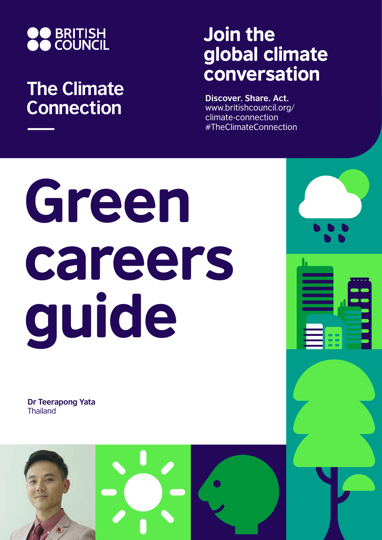

## **The Climate Connection**

## Join the global climate conversation

**Discover. Share. Act.** www.britishcouncil.org/ climate-connection #TheClimateConnection

# Green careers guide

**Dr Teerapong Yata Thailand** 

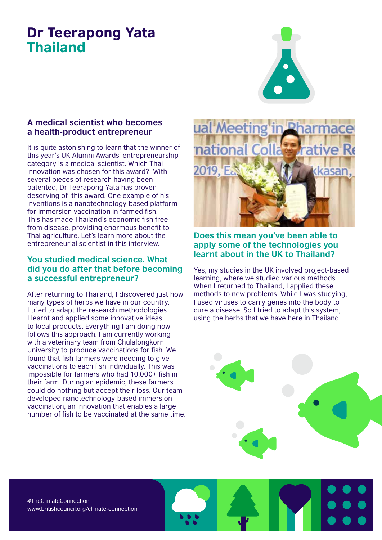### Dr Teerapong Yata Thailand



#### **A medical scientist who becomes a health-product entrepreneur**

It is quite astonishing to learn that the winner of this year's UK Alumni Awards' entrepreneurship category is a medical scientist. Which Thai innovation was chosen for this award? With several pieces of research having been patented, Dr Teerapong Yata has proven deserving of this award. One example of his inventions is a nanotechnology-based platform for immersion vaccination in farmed fish. This has made Thailand's economic fish free from disease, providing enormous benefit to Thai agriculture. Let's learn more about the entrepreneurial scientist in this interview.

#### **You studied medical science. What did you do after that before becoming a successful entrepreneur?**

After returning to Thailand, I discovered just how many types of herbs we have in our country. I tried to adapt the research methodologies I learnt and applied some innovative ideas to local products. Everything I am doing now follows this approach. I am currently working with a veterinary team from Chulalongkorn University to produce vaccinations for fish. We found that fish farmers were needing to give vaccinations to each fish individually. This was impossible for farmers who had 10,000+ fish in their farm. During an epidemic, these farmers could do nothing but accept their loss. Our team developed nanotechnology-based immersion vaccination, an innovation that enables a large number of fish to be vaccinated at the same time.



**Does this mean you've been able to apply some of the technologies you learnt about in the UK to Thailand?**

Yes, my studies in the UK involved project-based learning, where we studied various methods. When I returned to Thailand, I applied these methods to new problems. While I was studying, I used viruses to carry genes into the body to cure a disease. So I tried to adapt this system, using the herbs that we have here in Thailand.



#TheClimateConnection www.britishcouncil.org/climate-connection